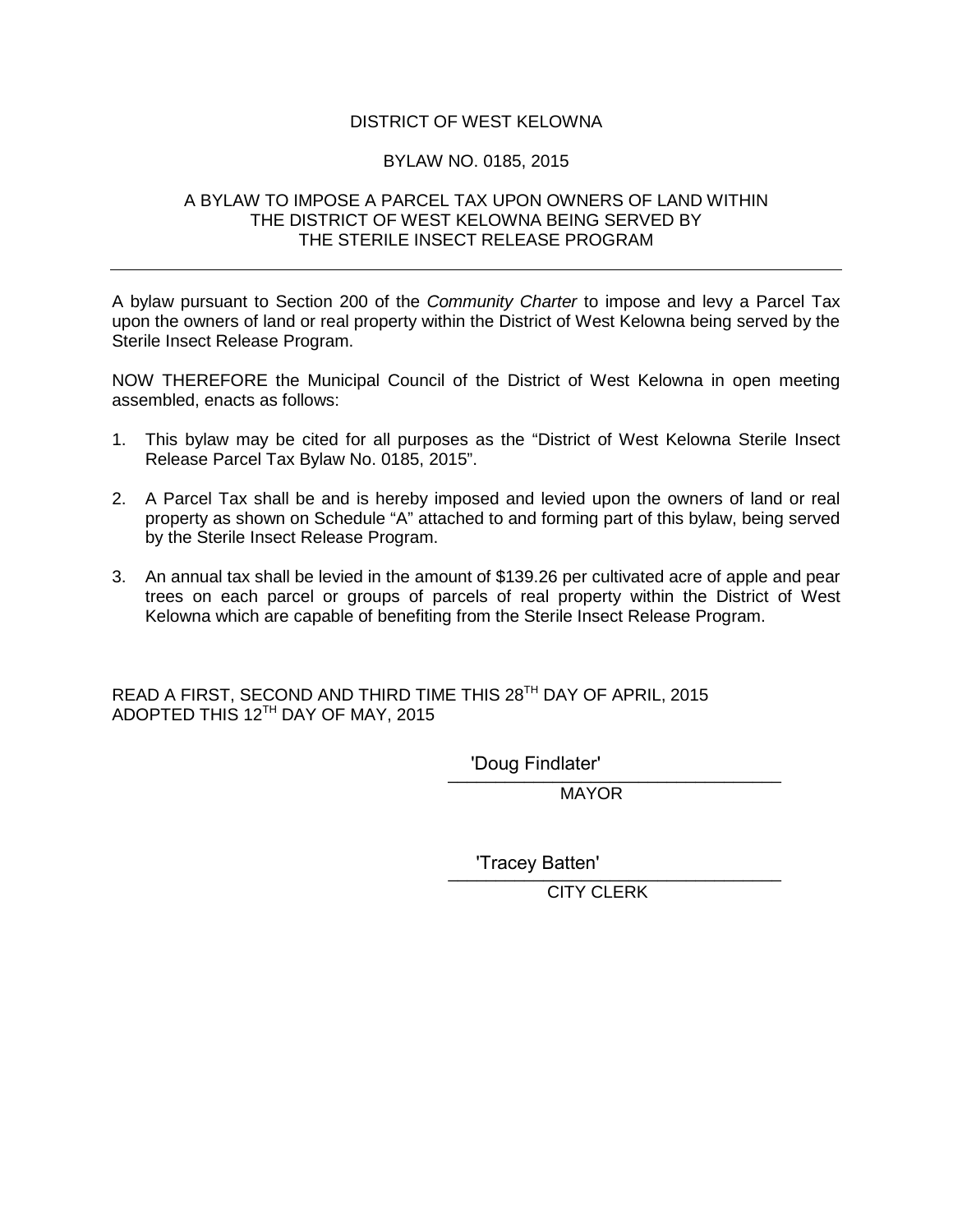## DISTRICT OF WEST KELOWNA

## BYLAW NO. 0185, 2015

## A BYLAW TO IMPOSE A PARCEL TAX UPON OWNERS OF LAND WITHIN THE DISTRICT OF WEST KELOWNA BEING SERVED BY THE STERILE INSECT RELEASE PROGRAM

A bylaw pursuant to Section 200 of the *Community Charter* to impose and levy a Parcel Tax upon the owners of land or real property within the District of West Kelowna being served by the Sterile Insect Release Program.

NOW THEREFORE the Municipal Council of the District of West Kelowna in open meeting assembled, enacts as follows:

- 1. This bylaw may be cited for all purposes as the "District of West Kelowna Sterile Insect Release Parcel Tax Bylaw No. 0185, 2015".
- 2. A Parcel Tax shall be and is hereby imposed and levied upon the owners of land or real property as shown on Schedule "A" attached to and forming part of this bylaw, being served by the Sterile Insect Release Program.
- 3. An annual tax shall be levied in the amount of \$139.26 per cultivated acre of apple and pear trees on each parcel or groups of parcels of real property within the District of West Kelowna which are capable of benefiting from the Sterile Insect Release Program.

READ A FIRST, SECOND AND THIRD TIME THIS 28<sup>TH</sup> DAY OF APRIL, 2015 ADOPTED THIS 12TH DAY OF MAY, 2015

\_\_\_\_\_\_\_\_\_\_\_\_\_\_\_\_\_\_\_\_\_\_\_\_\_\_\_\_\_\_\_\_\_\_\_ 'Doug Findlater'

**MAYOR** 

\_\_\_\_\_\_\_\_\_\_\_\_\_\_\_\_\_\_\_\_\_\_\_\_\_\_\_\_\_\_\_\_\_\_\_ 'Tracey Batten'

CITY CLERK